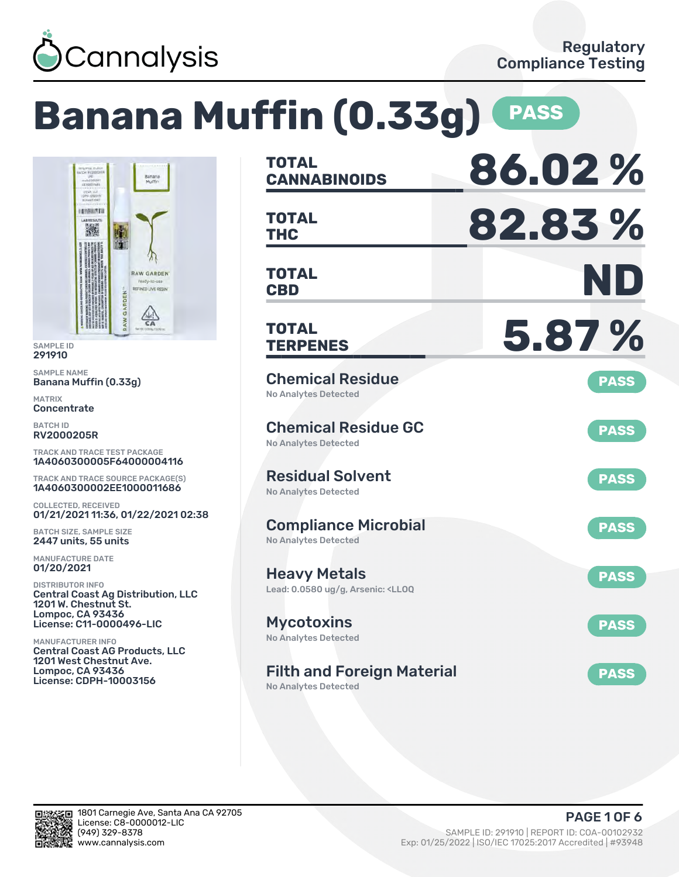

#### **Banana Muffin (0.33g) PASS CANNABINOIDS 86.02 % TOTAL** TOTAL **82.83 % TOTAL CBD ND TOTAL RAW GARDEN REFINED LIVE RESIN**  $\frac{\sqrt{4N}}{6A}$ **TERPENES 5.87 % TOTAL** Chemical Residue Banana Muffin (0.33g) **PASS** No Analytes Detected Chemical Residue GC **PASS** No Analytes Detected TRACK AND TRACE TEST PACKAGE 1A4060300005F64000004116 Residual Solvent TRACK AND TRACE SOURCE PACKAGE(S) **PASS** 1A4060300002EE1000011686 No Analytes Detected 01/21/2021 11:36, 01/22/2021 02:38 Compliance Microbial **PASS** No Analytes Detected Heavy Metals **PASS** Lead: 0.0580 ug/g, Arsenic: <LLOQ Central Coast Ag Distribution, LLC License: C11-0000496-LIC Mycotoxins **PASS** No Analytes Detected Central Coast AG Products, LLC 1201 West Chestnut Ave. Filth and Foreign Material **PASS** License: CDPH-10003156 No Analytes Detected



SAMPLE ID 291910 SAMPLE NAME

**INTERNATION** i.

GARDEN

MATRIX **Concentrate** BATCH ID RV2000205R

COLLECTED, RECEIVED

BATCH SIZE, SAMPLE SIZE 2447 units, 55 units MANUFACTURE DATE 01/20/2021 DISTRIBUTOR INFO

1201 W. Chestnut St. Lompoc, CA 93436

MANUFACTURER INFO

Lompoc, CA 93436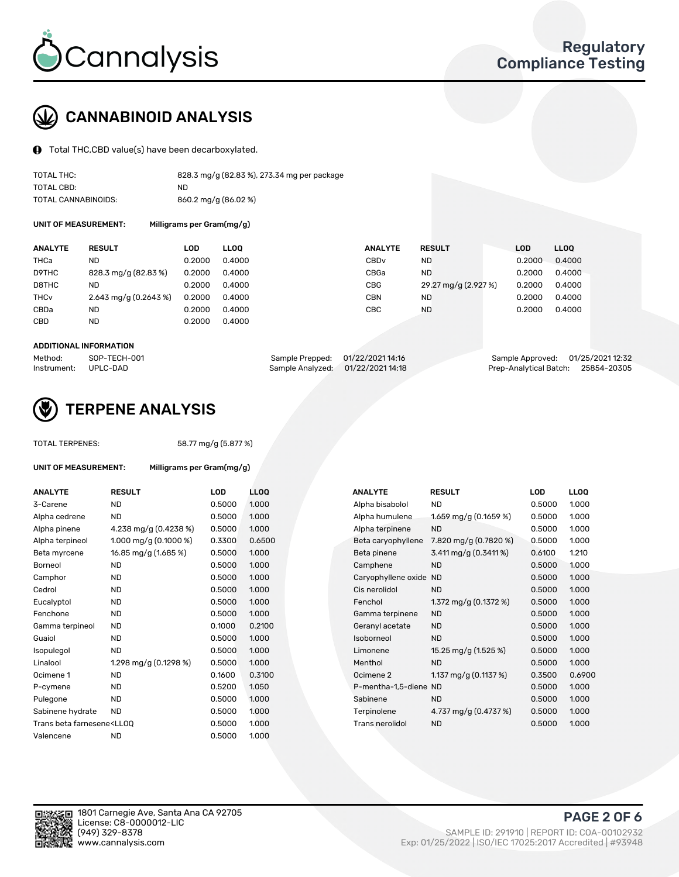

## CANNABINOID ANALYSIS

Total THC,CBD value(s) have been decarboxylated.

| TOTAL THC:          | 828.3 mg/g (82.83 %), 273.34 mg per package |
|---------------------|---------------------------------------------|
| TOTAL CBD:          | ND.                                         |
| TOTAL CANNABINOIDS: | 860.2 mg/g (86.02 %)                        |

UNIT OF MEASUREMENT: Milligrams per Gram(mg/g)

| <b>ANALYTE</b> | <b>RESULT</b>           | LOD    | <b>LLOO</b> | <b>ANALYTE</b>   | <b>RESULT</b>        | LOD    | <b>LLOO</b> |
|----------------|-------------------------|--------|-------------|------------------|----------------------|--------|-------------|
| THCa           | ND                      | 0.2000 | 0.4000      | CBD <sub>v</sub> | <b>ND</b>            | 0.2000 | 0.4000      |
| D9THC          | 828.3 mg/g (82.83 %)    | 0.2000 | 0.4000      | CBGa             | <b>ND</b>            | 0.2000 | 0.4000      |
| D8THC          | ND                      | 0.2000 | 0.4000      | <b>CBG</b>       | 29.27 mg/g (2.927 %) | 0.2000 | 0.4000      |
| THCv           | 2.643 mg/g $(0.2643\%)$ | 0.2000 | 0.4000      | <b>CBN</b>       | ND                   | 0.2000 | 0.4000      |
| CBDa           | ND                      | 0.2000 | 0.4000      | CBC              | <b>ND</b>            | 0.2000 | 0.4000      |
| CBD            | <b>ND</b>               | 0.2000 | 0.4000      |                  |                      |        |             |

#### ADDITIONAL INFORMATION

| Method:              | SOP-TECH-001 | Sample Prepped: 01/22/2021 14:16  | Sample Approved: 01/25/2021 12:32  |  |
|----------------------|--------------|-----------------------------------|------------------------------------|--|
| Instrument: UPLC-DAD |              | Sample Analyzed: 01/22/2021 14:18 | Prep-Analytical Batch: 25854-20305 |  |



## TERPENE ANALYSIS

| <b>TOTAL TERPENES:</b>                                                           |                           | 58.77 mg/g (5.877 %) |             |  |  |  |  |
|----------------------------------------------------------------------------------|---------------------------|----------------------|-------------|--|--|--|--|
| UNIT OF MEASUREMENT:                                                             | Milligrams per Gram(mg/g) |                      |             |  |  |  |  |
| <b>ANALYTE</b>                                                                   | <b>RESULT</b>             | LOD                  | <b>LLOO</b> |  |  |  |  |
| 3-Carene                                                                         | <b>ND</b>                 | 0.5000               | 1.000       |  |  |  |  |
| Alpha cedrene                                                                    | <b>ND</b>                 | 0.5000               | 1.000       |  |  |  |  |
| Alpha pinene                                                                     | 4.238 mg/g (0.4238 %)     | 0.5000               | 1.000       |  |  |  |  |
| Alpha terpineol                                                                  | 1.000 mg/g (0.1000 %)     | 0.3300               | 0.650       |  |  |  |  |
| Beta myrcene                                                                     | 16.85 mg/g (1.685 %)      | 0.5000               | 1.000       |  |  |  |  |
| Borneol                                                                          | <b>ND</b>                 | 0.5000               | 1.000       |  |  |  |  |
| Camphor                                                                          | <b>ND</b>                 | 0.5000               | 1.000       |  |  |  |  |
| Cedrol                                                                           | <b>ND</b>                 | 0.5000               | 1.000       |  |  |  |  |
| Eucalyptol                                                                       | <b>ND</b>                 | 0.5000               | 1.000       |  |  |  |  |
| Fenchone                                                                         | <b>ND</b>                 | 0.5000               | 1.000       |  |  |  |  |
| Gamma terpineol                                                                  | <b>ND</b>                 | 0.1000               | 0.210       |  |  |  |  |
| Guaiol                                                                           | ND.                       | 0.5000               | 1.000       |  |  |  |  |
| Isopulegol                                                                       | ND.                       | 0.5000               | 1.000       |  |  |  |  |
| Linalool                                                                         | 1.298 mg/g (0.1298 %)     | 0.5000               | 1.000       |  |  |  |  |
| Ocimene 1                                                                        | <b>ND</b>                 | 0.1600               | 0.310       |  |  |  |  |
| P-cymene                                                                         | <b>ND</b>                 | 0.5200               | 1.050       |  |  |  |  |
| Pulegone                                                                         | <b>ND</b>                 | 0.5000               | 1.000       |  |  |  |  |
| Sabinene hydrate                                                                 | ND.                       | 0.5000               | 1.000       |  |  |  |  |
| Trans beta farnesene <ll00< td=""><td></td><td>0.5000</td><td>1.000</td></ll00<> |                           | 0.5000               | 1.000       |  |  |  |  |
| Valencene                                                                        | ND.                       | 0.5000               | 1.000       |  |  |  |  |
|                                                                                  |                           |                      |             |  |  |  |  |

| <b>ANALYTE</b>                                                                                                                                          | <b>RESULT</b>           | <b>LOD</b> | <b>LLOQ</b> | <b>ANALYTE</b>        | <b>RESULT</b>           | <b>LOD</b> | <b>LLOQ</b> |
|---------------------------------------------------------------------------------------------------------------------------------------------------------|-------------------------|------------|-------------|-----------------------|-------------------------|------------|-------------|
| 3-Carene                                                                                                                                                | <b>ND</b>               | 0.5000     | 1.000       | Alpha bisabolol       | ND.                     | 0.5000     | 1.000       |
| Alpha cedrene                                                                                                                                           | <b>ND</b>               | 0.5000     | 1.000       | Alpha humulene        | 1.659 mg/g (0.1659 %)   | 0.5000     | 1.000       |
| Alpha pinene                                                                                                                                            | 4.238 mg/g (0.4238 %)   | 0.5000     | 1.000       | Alpha terpinene       | <b>ND</b>               | 0.5000     | 1.000       |
| Alpha terpineol                                                                                                                                         | 1.000 mg/g $(0.1000 %)$ | 0.3300     | 0.6500      | Beta caryophyllene    | 7.820 mg/g (0.7820 %)   | 0.5000     | 1.000       |
| Beta myrcene                                                                                                                                            | 16.85 mg/g (1.685 %)    | 0.5000     | 1.000       | Beta pinene           | 3.411 mg/g $(0.3411\%)$ | 0.6100     | 1.210       |
| Borneol                                                                                                                                                 | <b>ND</b>               | 0.5000     | 1.000       | Camphene              | <b>ND</b>               | 0.5000     | 1.000       |
| Camphor                                                                                                                                                 | <b>ND</b>               | 0.5000     | 1.000       | Caryophyllene oxide   | ND                      | 0.5000     | 1.000       |
| Cedrol                                                                                                                                                  | <b>ND</b>               | 0.5000     | 1.000       | Cis nerolidol         | <b>ND</b>               | 0.5000     | 1.000       |
| Eucalyptol                                                                                                                                              | <b>ND</b>               | 0.5000     | 1.000       | Fenchol               | 1.372 mg/g (0.1372 %)   | 0.5000     | 1.000       |
| Fenchone                                                                                                                                                | <b>ND</b>               | 0.5000     | 1.000       | Gamma terpinene       | <b>ND</b>               | 0.5000     | 1.000       |
| Gamma terpineol                                                                                                                                         | <b>ND</b>               | 0.1000     | 0.2100      | Geranyl acetate       | <b>ND</b>               | 0.5000     | 1.000       |
| Guaiol                                                                                                                                                  | <b>ND</b>               | 0.5000     | 1.000       | Isoborneol            | <b>ND</b>               | 0.5000     | 1.000       |
| Isopulegol                                                                                                                                              | <b>ND</b>               | 0.5000     | 1.000       | Limonene              | 15.25 mg/g (1.525 %)    | 0.5000     | 1.000       |
| Linalool                                                                                                                                                | 1.298 mg/g (0.1298 %)   | 0.5000     | 1.000       | Menthol               | <b>ND</b>               | 0.5000     | 1.000       |
| Ocimene 1                                                                                                                                               | <b>ND</b>               | 0.1600     | 0.3100      | Ocimene 2             | 1.137 mg/g $(0.1137%)$  | 0.3500     | 0.6900      |
| P-cymene                                                                                                                                                | ND.                     | 0.5200     | 1.050       | P-mentha-1,5-diene ND |                         | 0.5000     | 1.000       |
| Pulegone                                                                                                                                                | <b>ND</b>               | 0.5000     | 1.000       | Sabinene              | <b>ND</b>               | 0.5000     | 1.000       |
| Sabinene hydrate                                                                                                                                        | <b>ND</b>               | 0.5000     | 1.000       | Terpinolene           | 4.737 mg/g (0.4737 %)   | 0.5000     | 1.000       |
| Trans beta farnesene <lloq< td=""><td></td><td>0.5000</td><td>1.000</td><td>Trans nerolidol</td><td><b>ND</b></td><td>0.5000</td><td>1.000</td></lloq<> |                         | 0.5000     | 1.000       | Trans nerolidol       | <b>ND</b>               | 0.5000     | 1.000       |
| 1 <i>1 -</i> 1 - - - - - - -                                                                                                                            | $\overline{1}$          | 0.5000     | 1000        |                       |                         |            |             |

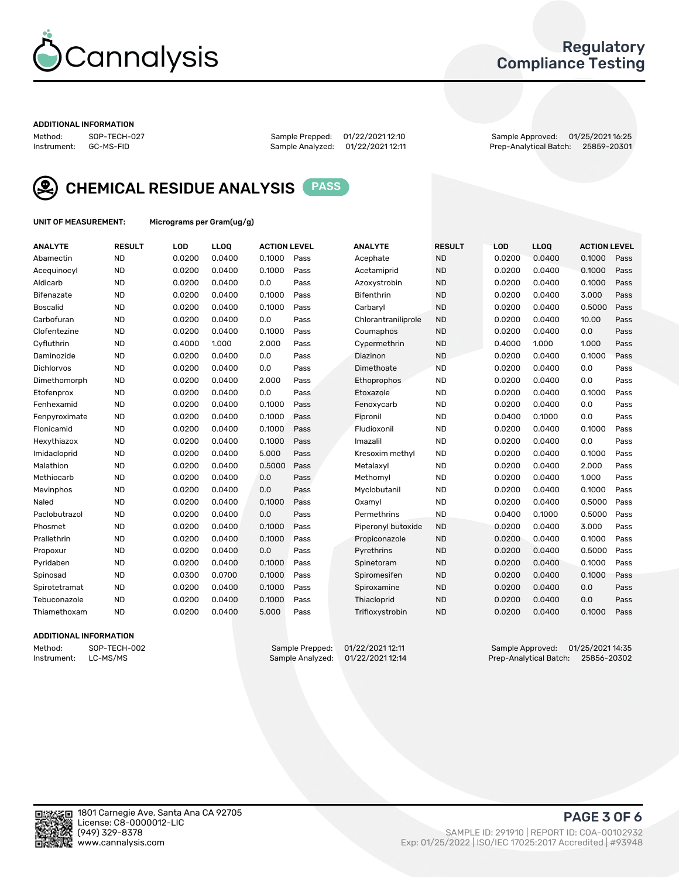

### Regulatory Compliance Testing

#### ADDITIONAL INFORMATION

Method: SOP-TECH-027 Sample Prepped: 01/22/2021 12:10 Sample Approved: 01/25/2021 16:25 Prep-Analytical Batch: 25859-20301



CHEMICAL RESIDUE ANALYSIS PASS

UNIT OF MEASUREMENT: Micrograms per Gram(ug/g)

| <b>ANALYTE</b>    | <b>RESULT</b> | <b>LOD</b> | <b>LLOO</b> | <b>ACTION LEVEL</b> |      | <b>ANALYTE</b>      | <b>RESULT</b> | <b>LOD</b> | LLOQ   | <b>ACTION LEVEL</b> |      |
|-------------------|---------------|------------|-------------|---------------------|------|---------------------|---------------|------------|--------|---------------------|------|
| Abamectin         | <b>ND</b>     | 0.0200     | 0.0400      | 0.1000              | Pass | Acephate            | <b>ND</b>     | 0.0200     | 0.0400 | 0.1000              | Pass |
| Acequinocyl       | <b>ND</b>     | 0.0200     | 0.0400      | 0.1000              | Pass | Acetamiprid         | <b>ND</b>     | 0.0200     | 0.0400 | 0.1000              | Pass |
| Aldicarb          | <b>ND</b>     | 0.0200     | 0.0400      | 0.0                 | Pass | Azoxystrobin        | <b>ND</b>     | 0.0200     | 0.0400 | 0.1000              | Pass |
| Bifenazate        | <b>ND</b>     | 0.0200     | 0.0400      | 0.1000              | Pass | Bifenthrin          | <b>ND</b>     | 0.0200     | 0.0400 | 3.000               | Pass |
| <b>Boscalid</b>   | <b>ND</b>     | 0.0200     | 0.0400      | 0.1000              | Pass | Carbaryl            | <b>ND</b>     | 0.0200     | 0.0400 | 0.5000              | Pass |
| Carbofuran        | <b>ND</b>     | 0.0200     | 0.0400      | 0.0                 | Pass | Chlorantraniliprole | <b>ND</b>     | 0.0200     | 0.0400 | 10.00               | Pass |
| Clofentezine      | <b>ND</b>     | 0.0200     | 0.0400      | 0.1000              | Pass | Coumaphos           | <b>ND</b>     | 0.0200     | 0.0400 | 0.0                 | Pass |
| Cyfluthrin        | <b>ND</b>     | 0.4000     | 1.000       | 2.000               | Pass | Cypermethrin        | <b>ND</b>     | 0.4000     | 1.000  | 1.000               | Pass |
| Daminozide        | <b>ND</b>     | 0.0200     | 0.0400      | 0.0                 | Pass | Diazinon            | <b>ND</b>     | 0.0200     | 0.0400 | 0.1000              | Pass |
| <b>Dichlorvos</b> | <b>ND</b>     | 0.0200     | 0.0400      | 0.0                 | Pass | Dimethoate          | <b>ND</b>     | 0.0200     | 0.0400 | 0.0                 | Pass |
| Dimethomorph      | <b>ND</b>     | 0.0200     | 0.0400      | 2.000               | Pass | <b>Ethoprophos</b>  | <b>ND</b>     | 0.0200     | 0.0400 | 0.0                 | Pass |
| Etofenprox        | <b>ND</b>     | 0.0200     | 0.0400      | 0.0                 | Pass | Etoxazole           | <b>ND</b>     | 0.0200     | 0.0400 | 0.1000              | Pass |
| Fenhexamid        | <b>ND</b>     | 0.0200     | 0.0400      | 0.1000              | Pass | Fenoxycarb          | <b>ND</b>     | 0.0200     | 0.0400 | 0.0                 | Pass |
| Fenpyroximate     | <b>ND</b>     | 0.0200     | 0.0400      | 0.1000              | Pass | Fipronil            | <b>ND</b>     | 0.0400     | 0.1000 | 0.0                 | Pass |
| Flonicamid        | <b>ND</b>     | 0.0200     | 0.0400      | 0.1000              | Pass | Fludioxonil         | <b>ND</b>     | 0.0200     | 0.0400 | 0.1000              | Pass |
| Hexythiazox       | <b>ND</b>     | 0.0200     | 0.0400      | 0.1000              | Pass | Imazalil            | <b>ND</b>     | 0.0200     | 0.0400 | 0.0                 | Pass |
| Imidacloprid      | <b>ND</b>     | 0.0200     | 0.0400      | 5.000               | Pass | Kresoxim methyl     | <b>ND</b>     | 0.0200     | 0.0400 | 0.1000              | Pass |
| Malathion         | <b>ND</b>     | 0.0200     | 0.0400      | 0.5000              | Pass | Metalaxyl           | <b>ND</b>     | 0.0200     | 0.0400 | 2.000               | Pass |
| Methiocarb        | <b>ND</b>     | 0.0200     | 0.0400      | 0.0                 | Pass | Methomyl            | <b>ND</b>     | 0.0200     | 0.0400 | 1.000               | Pass |
| Mevinphos         | <b>ND</b>     | 0.0200     | 0.0400      | 0.0                 | Pass | Myclobutanil        | <b>ND</b>     | 0.0200     | 0.0400 | 0.1000              | Pass |
| Naled             | <b>ND</b>     | 0.0200     | 0.0400      | 0.1000              | Pass | Oxamyl              | <b>ND</b>     | 0.0200     | 0.0400 | 0.5000              | Pass |
| Paclobutrazol     | <b>ND</b>     | 0.0200     | 0.0400      | 0.0                 | Pass | Permethrins         | <b>ND</b>     | 0.0400     | 0.1000 | 0.5000              | Pass |
| Phosmet           | <b>ND</b>     | 0.0200     | 0.0400      | 0.1000              | Pass | Piperonyl butoxide  | <b>ND</b>     | 0.0200     | 0.0400 | 3.000               | Pass |
| Prallethrin       | <b>ND</b>     | 0.0200     | 0.0400      | 0.1000              | Pass | Propiconazole       | <b>ND</b>     | 0.0200     | 0.0400 | 0.1000              | Pass |
| Propoxur          | <b>ND</b>     | 0.0200     | 0.0400      | 0.0                 | Pass | Pyrethrins          | <b>ND</b>     | 0.0200     | 0.0400 | 0.5000              | Pass |
| Pyridaben         | <b>ND</b>     | 0.0200     | 0.0400      | 0.1000              | Pass | Spinetoram          | <b>ND</b>     | 0.0200     | 0.0400 | 0.1000              | Pass |
| Spinosad          | <b>ND</b>     | 0.0300     | 0.0700      | 0.1000              | Pass | Spiromesifen        | <b>ND</b>     | 0.0200     | 0.0400 | 0.1000              | Pass |
| Spirotetramat     | <b>ND</b>     | 0.0200     | 0.0400      | 0.1000              | Pass | Spiroxamine         | <b>ND</b>     | 0.0200     | 0.0400 | 0.0                 | Pass |
| Tebuconazole      | <b>ND</b>     | 0.0200     | 0.0400      | 0.1000              | Pass | Thiacloprid         | <b>ND</b>     | 0.0200     | 0.0400 | 0.0                 | Pass |
| Thiamethoxam      | <b>ND</b>     | 0.0200     | 0.0400      | 5.000               | Pass | Trifloxystrobin     | <b>ND</b>     | 0.0200     | 0.0400 | 0.1000              | Pass |

#### ADDITIONAL INFORMATION

Method: SOP-TECH-002 Sample Prepped: 01/22/2021 12:11 Sample Approved: 01/25/2021 14:35<br>Instrument: LC-MS/MS Sample Analyzed: 01/22/2021 12:14 Prep-Analytical Batch: 25856-20302 Prep-Analytical Batch: 25856-20302

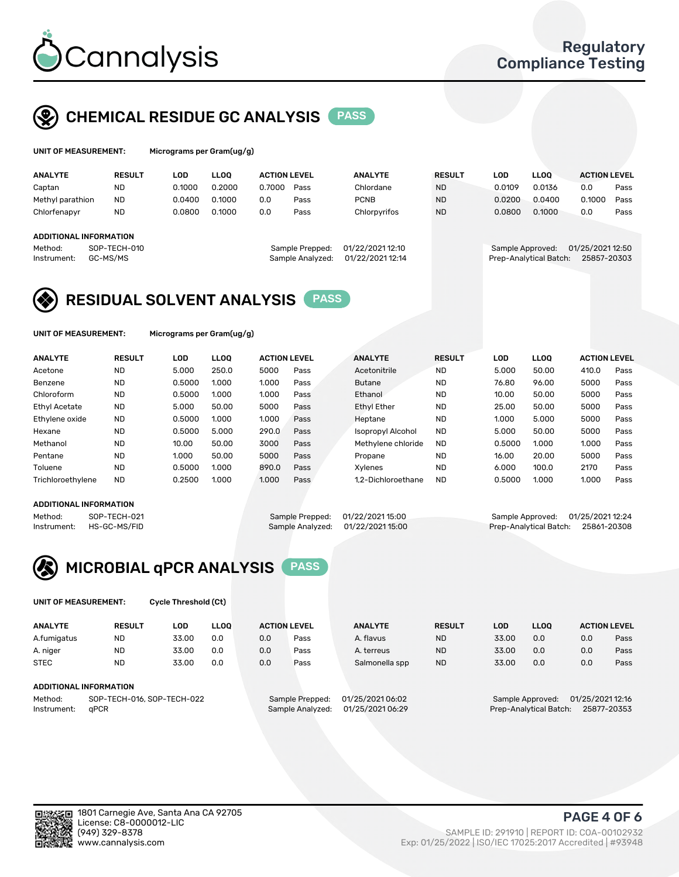

## CHEMICAL RESIDUE GC ANALYSIS PASS

| UNIT OF MEASUREMENT: |               | Micrograms per Gram(ug/g) |             |              |
|----------------------|---------------|---------------------------|-------------|--------------|
| <b>ANALYTE</b>       | <b>RESULT</b> | LOD                       | <b>LLOO</b> | <b>ACTIC</b> |

| <b>ANALYTE</b>         | <b>RESULT</b> | LOD    | <b>LLOO</b> | <b>ACTION LEVEL</b> |                  | <b>ANALYTE</b>   | <b>RESULT</b> | LOD    | <b>LLOO</b>            | <b>ACTION LEVEL</b> |      |
|------------------------|---------------|--------|-------------|---------------------|------------------|------------------|---------------|--------|------------------------|---------------------|------|
| Captan                 | <b>ND</b>     | 0.1000 | 0.2000      | 0.7000              | Pass             | Chlordane        | <b>ND</b>     | 0.0109 | 0.0136                 | 0.0                 | Pass |
| Methyl parathion       | <b>ND</b>     | 0.0400 | 0.1000      | 0.0                 | Pass             | <b>PCNB</b>      | <b>ND</b>     | 0.0200 | 0.0400                 | 0.1000              | Pass |
| Chlorfenapyr           | <b>ND</b>     | 0.0800 | 0.1000      | 0.0                 | Pass             | Chlorpyrifos     | <b>ND</b>     | 0.0800 | 0.1000                 | 0.0                 | Pass |
|                        |               |        |             |                     |                  |                  |               |        |                        |                     |      |
| ADDITIONAL INFORMATION |               |        |             |                     |                  |                  |               |        |                        |                     |      |
| Method:                | SOP-TECH-010  |        |             |                     | Sample Prepped:  | 01/22/2021 12:10 |               |        | Sample Approved:       | 01/25/2021 12:50    |      |
| Instrument:            | GC-MS/MS      |        |             |                     | Sample Analyzed: | 01/22/2021 12:14 |               |        | Prep-Analytical Batch: | 25857-20303         |      |
|                        |               |        |             |                     |                  |                  |               |        |                        |                     |      |

## RESIDUAL SOLVENT ANALYSIS PASS

UNIT OF MEASUREMENT: Micrograms per Gram(ug/g)

| <b>ANALYTE</b>       | <b>RESULT</b> | <b>LOD</b> | <b>LLOO</b> | <b>ACTION LEVEL</b> |      | <b>ANALYTE</b>           | <b>RESULT</b> | <b>LOD</b> | LLOO  | <b>ACTION LEVEL</b> |      |
|----------------------|---------------|------------|-------------|---------------------|------|--------------------------|---------------|------------|-------|---------------------|------|
| Acetone              | <b>ND</b>     | 5.000      | 250.0       | 5000                | Pass | Acetonitrile             | <b>ND</b>     | 5.000      | 50.00 | 410.0               | Pass |
| Benzene              | <b>ND</b>     | 0.5000     | 1.000       | 1.000               | Pass | <b>Butane</b>            | <b>ND</b>     | 76.80      | 96.00 | 5000                | Pass |
| Chloroform           | <b>ND</b>     | 0.5000     | 1.000       | 1.000               | Pass | Ethanol                  | <b>ND</b>     | 10.00      | 50.00 | 5000                | Pass |
| <b>Ethyl Acetate</b> | <b>ND</b>     | 5.000      | 50.00       | 5000                | Pass | <b>Ethyl Ether</b>       | <b>ND</b>     | 25.00      | 50.00 | 5000                | Pass |
| Ethylene oxide       | <b>ND</b>     | 0.5000     | 1.000       | 1.000               | Pass | Heptane                  | <b>ND</b>     | 1.000      | 5.000 | 5000                | Pass |
| Hexane               | <b>ND</b>     | 0.5000     | 5.000       | 290.0               | Pass | <b>Isopropyl Alcohol</b> | <b>ND</b>     | 5.000      | 50.00 | 5000                | Pass |
| Methanol             | <b>ND</b>     | 10.00      | 50.00       | 3000                | Pass | Methylene chloride       | <b>ND</b>     | 0.5000     | 1.000 | 1.000               | Pass |
| Pentane              | <b>ND</b>     | 1.000      | 50.00       | 5000                | Pass | Propane                  | <b>ND</b>     | 16.00      | 20.00 | 5000                | Pass |
| Toluene              | <b>ND</b>     | 0.5000     | 1.000       | 890.0               | Pass | Xvlenes                  | <b>ND</b>     | 6.000      | 100.0 | 2170                | Pass |
| Trichloroethylene    | <b>ND</b>     | 0.2500     | 1.000       | 1.000               | Pass | 1.2-Dichloroethane       | <b>ND</b>     | 0.5000     | 1.000 | 1.000               | Pass |

#### ADDITIONAL INFORMATION

Method: SOP-TECH-021 Sample Prepped: 01/22/2021 15:00 Sample Approved: 01/25/2021 12:24<br>Instrument: HS-GC-MS/FID Sample Analyzed: 01/22/2021 15:00 Prep-Analytical Batch: 25861-20308 Prep-Analytical Batch: 25861-20308



UNIT OF MEASUREMENT: Cycle Threshold (Ct)

| <b>ANALYTE</b>                        | <b>RESULT</b>          | LOD   | <b>LLOO</b> | <b>ACTION LEVEL</b> |                  | <b>ANALYTE</b> | <b>RESULT</b> | LOD              | <b>LLOO</b>      |     | <b>ACTION LEVEL</b> |
|---------------------------------------|------------------------|-------|-------------|---------------------|------------------|----------------|---------------|------------------|------------------|-----|---------------------|
| A.fumigatus                           | <b>ND</b>              | 33.00 | 0.0         | 0.0                 | Pass             | A. flavus      | <b>ND</b>     | 33.00            | 0.0              | 0.0 | Pass                |
| A. niger                              | <b>ND</b>              | 33.00 | 0.0         | 0.0                 | Pass             | A. terreus     | <b>ND</b>     | 33.00            | 0.0              | 0.0 | Pass                |
| <b>STEC</b>                           | <b>ND</b>              | 33.00 | 0.0         | 0.0                 | Pass             | Salmonella spp | <b>ND</b>     | 33.00            | 0.0              | 0.0 | Pass                |
|                                       | ADDITIONAL INFORMATION |       |             |                     |                  |                |               |                  |                  |     |                     |
| SOP-TECH-016, SOP-TECH-022<br>Method: |                        |       |             | Sample Prepped:     | 01/25/2021 06:02 |                |               | Sample Approved: | 01/25/2021 12:16 |     |                     |

Instrument: qPCR Sample Analyzed: 01/25/2021 06:29 Prep-Analytical Batch: 25877-20353

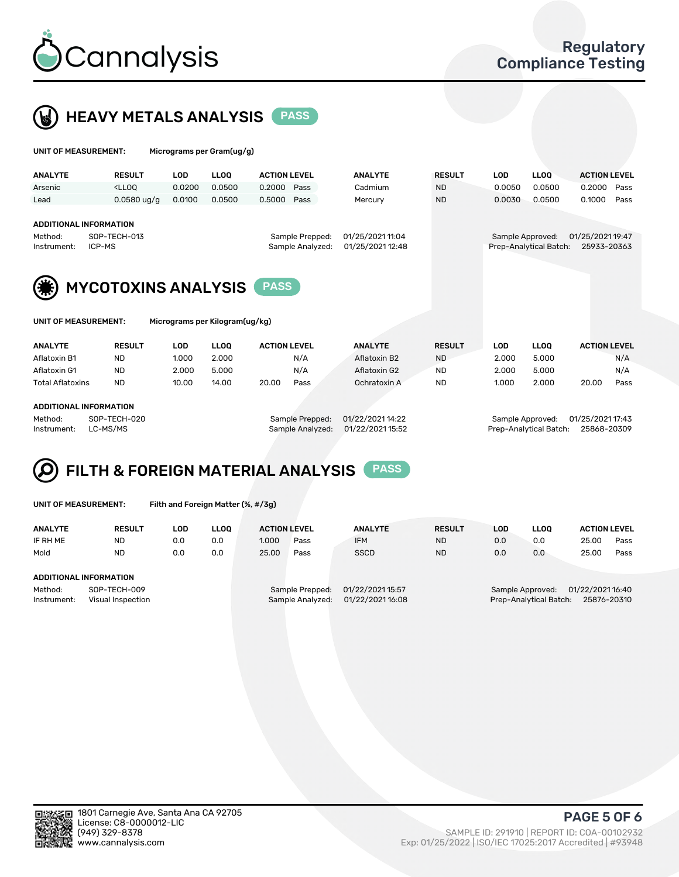



| UNIT OF MEASUREMENT:   |                                                                                                                                                                             |            | Micrograms per Gram(ug/g)      |                     |                                     |                                      |               |            |                                            |                                 |      |
|------------------------|-----------------------------------------------------------------------------------------------------------------------------------------------------------------------------|------------|--------------------------------|---------------------|-------------------------------------|--------------------------------------|---------------|------------|--------------------------------------------|---------------------------------|------|
| <b>ANALYTE</b>         | <b>RESULT</b>                                                                                                                                                               | <b>LOD</b> | <b>LLOO</b>                    | <b>ACTION LEVEL</b> |                                     | <b>ANALYTE</b>                       | <b>RESULT</b> | <b>LOD</b> | <b>LLOQ</b>                                | <b>ACTION LEVEL</b>             |      |
| Arsenic                | <lloo< td=""><td>0.0200</td><td>0.0500</td><td>0.2000</td><td>Pass</td><td>Cadmium</td><td><b>ND</b></td><td>0.0050</td><td>0.0500</td><td>0.2000</td><td>Pass</td></lloo<> | 0.0200     | 0.0500                         | 0.2000              | Pass                                | Cadmium                              | <b>ND</b>     | 0.0050     | 0.0500                                     | 0.2000                          | Pass |
| Lead                   | $0.0580$ ug/g                                                                                                                                                               | 0.0100     | 0.0500                         | 0.5000              | Pass                                | Mercury                              | <b>ND</b>     | 0.0030     | 0.0500                                     | 0.1000                          | Pass |
| Method:<br>Instrument: | <b>ADDITIONAL INFORMATION</b><br>SOP-TECH-013<br>ICP-MS                                                                                                                     |            |                                |                     | Sample Prepped:<br>Sample Analyzed: | 01/25/2021 11:04<br>01/25/2021 12:48 |               |            | Sample Approved:<br>Prep-Analytical Batch: | 01/25/2021 19:47<br>25933-20363 |      |
|                        | <b>MYCOTOXINS ANALYSIS</b>                                                                                                                                                  |            |                                | <b>PASS</b>         |                                     |                                      |               |            |                                            |                                 |      |
| UNIT OF MEASUREMENT:   |                                                                                                                                                                             |            | Micrograms per Kilogram(ug/kg) |                     |                                     |                                      |               |            |                                            |                                 |      |

| <b>ANALYTE</b>          | <b>RESULT</b> | LOD   | <b>LLOO</b>     | <b>ACTION LEVEL</b> | <b>ANALYTE</b> | <b>RESULT</b> | LOD              | <b>LLOO</b>      | <b>ACTION LEVEL</b> |      |
|-------------------------|---------------|-------|-----------------|---------------------|----------------|---------------|------------------|------------------|---------------------|------|
| Aflatoxin B1            | ND            | 1.000 | 2.000           | N/A                 | Aflatoxin B2   | <b>ND</b>     | 2.000            | 5.000            |                     | N/A  |
| Aflatoxin G1            | <b>ND</b>     | 2.000 | 5.000           | N/A                 | Aflatoxin G2   | <b>ND</b>     | 2.000            | 5.000            |                     | N/A  |
| <b>Total Aflatoxins</b> | <b>ND</b>     | 10.00 | 14.00           | 20.00<br>Pass       | Ochratoxin A   | <b>ND</b>     | 1.000            | 2.000            | 20.00               | Pass |
|                         |               |       |                 |                     |                |               |                  |                  |                     |      |
| ADDITIONAL INFORMATION  |               |       |                 |                     |                |               |                  |                  |                     |      |
| Method:                 | SOP-TECH-020  |       | Sample Prepped: | 01/22/2021 14:22    |                |               | Sample Approved: | 01/25/2021 17:43 |                     |      |

Instrument: LC-MS/MS Sample Analyzed: 01/22/2021 15:52 Prep-Analytical Batch: 25868-20309

# FILTH & FOREIGN MATERIAL ANALYSIS PASS

Filth and Foreign Matter (%, #/3g)

| <b>ANALYTE</b>                                              | <b>RESULT</b> | LOD | <b>LLOO</b> | <b>ACTION LEVEL</b>                 |      | <b>ANALYTE</b>                       | <b>RESULT</b> | LOD | LLOO                                                                          | <b>ACTION LEVEL</b> |      |  |
|-------------------------------------------------------------|---------------|-----|-------------|-------------------------------------|------|--------------------------------------|---------------|-----|-------------------------------------------------------------------------------|---------------------|------|--|
| IF RH ME                                                    | <b>ND</b>     | 0.0 | 0.0         | 1.000                               | Pass | <b>IFM</b>                           | <b>ND</b>     | 0.0 | 0.0                                                                           | 25.00               | Pass |  |
| Mold                                                        | <b>ND</b>     | 0.0 | 0.0         | 25.00                               | Pass | <b>SSCD</b>                          | <b>ND</b>     | 0.0 | 0.0                                                                           | 25.00               | Pass |  |
| ADDITIONAL INFORMATION                                      |               |     |             |                                     |      |                                      |               |     |                                                                               |                     |      |  |
| SOP-TECH-009<br>Method:<br>Instrument:<br>Visual Inspection |               |     |             | Sample Prepped:<br>Sample Analyzed: |      | 01/22/2021 15:57<br>01/22/2021 16:08 |               |     | 01/22/2021 16:40<br>Sample Approved:<br>Prep-Analytical Batch:<br>25876-20310 |                     |      |  |